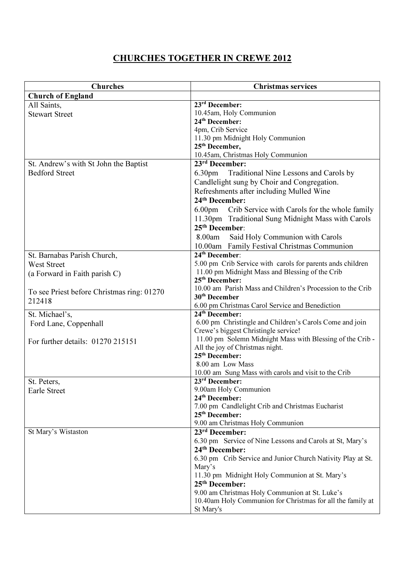## CHURCHES TOGETHER IN CREWE 2012

| <b>Churches</b>                            | <b>Christmas services</b>                                                          |
|--------------------------------------------|------------------------------------------------------------------------------------|
| <b>Church of England</b>                   |                                                                                    |
| All Saints,                                | $23rd$ December:                                                                   |
| <b>Stewart Street</b>                      | 10.45am, Holy Communion                                                            |
|                                            | 24 <sup>th</sup> December:                                                         |
|                                            | 4pm, Crib Service                                                                  |
|                                            | 11.30 pm Midnight Holy Communion                                                   |
|                                            | 25 <sup>th</sup> December,                                                         |
|                                            | 10.45am, Christmas Holy Communion                                                  |
| St. Andrew's with St John the Baptist      | $23rd$ December:                                                                   |
| <b>Bedford Street</b>                      | 6.30pm Traditional Nine Lessons and Carols by                                      |
|                                            | Candlelight sung by Choir and Congregation.                                        |
|                                            | Refreshments after including Mulled Wine                                           |
|                                            | 24 <sup>th</sup> December:                                                         |
|                                            | 6.00pm Crib Service with Carols for the whole family                               |
|                                            | 11.30pm Traditional Sung Midnight Mass with Carols                                 |
|                                            | 25 <sup>th</sup> December:                                                         |
|                                            | Said Holy Communion with Carols<br>8.00am                                          |
|                                            | 10.00am Family Festival Christmas Communion                                        |
| St. Barnabas Parish Church,                | 24 <sup>th</sup> December:                                                         |
| West Street                                | 5.00 pm Crib Service with carols for parents ands children                         |
| (a Forward in Faith parish C)              | 11.00 pm Midnight Mass and Blessing of the Crib                                    |
|                                            | 25 <sup>th</sup> December:                                                         |
| To see Priest before Christmas ring: 01270 | 10.00 am Parish Mass and Children's Procession to the Crib                         |
| 212418                                     | 30 <sup>th</sup> December                                                          |
|                                            | 6.00 pm Christmas Carol Service and Benediction                                    |
| St. Michael's,                             | 24 <sup>th</sup> December:                                                         |
| Ford Lane, Coppenhall                      | 6.00 pm Christingle and Children's Carols Come and join                            |
|                                            | Crewe's biggest Christingle service!                                               |
| For further details: 01270 215151          | 11.00 pm Solemn Midnight Mass with Blessing of the Crib -                          |
|                                            | All the joy of Christmas night.                                                    |
|                                            | 25 <sup>th</sup> December:                                                         |
|                                            | 8.00 am Low Mass                                                                   |
|                                            | 10.00 am Sung Mass with carols and visit to the Crib<br>23 <sup>rd</sup> December: |
| St. Peters,                                | 9.00am Holy Communion                                                              |
| Earle Street                               | 24 <sup>th</sup> December:                                                         |
|                                            | 7.00 pm Candlelight Crib and Christmas Eucharist                                   |
|                                            | 25 <sup>th</sup> December:                                                         |
|                                            | 9.00 am Christmas Holy Communion                                                   |
| St Mary's Wistaston                        | 23 <sup>rd</sup> December:                                                         |
|                                            | 6.30 pm Service of Nine Lessons and Carols at St, Mary's                           |
|                                            | 24 <sup>th</sup> December:                                                         |
|                                            | 6.30 pm Crib Service and Junior Church Nativity Play at St.                        |
|                                            | Mary's                                                                             |
|                                            | 11.30 pm Midnight Holy Communion at St. Mary's                                     |
|                                            | 25 <sup>th</sup> December:                                                         |
|                                            | 9.00 am Christmas Holy Communion at St. Luke's                                     |
|                                            | 10.40am Holy Communion for Christmas for all the family at                         |
|                                            | St Mary's                                                                          |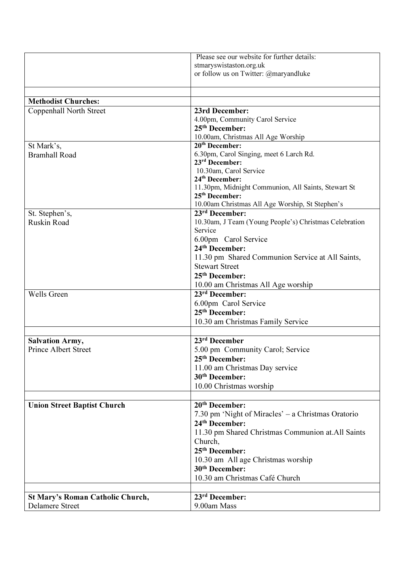|                                         | Please see our website for further details:                         |
|-----------------------------------------|---------------------------------------------------------------------|
|                                         | stmaryswistaston.org.uk                                             |
|                                         | or follow us on Twitter: @maryandluke                               |
|                                         |                                                                     |
| <b>Methodist Churches:</b>              |                                                                     |
| Coppenhall North Street                 | 23rd December:                                                      |
|                                         | 4.00pm, Community Carol Service                                     |
|                                         | 25 <sup>th</sup> December:                                          |
|                                         | 10.00am, Christmas All Age Worship                                  |
| St Mark's,                              | 20 <sup>th</sup> December:                                          |
| <b>Bramhall Road</b>                    | 6.30pm, Carol Singing, meet 6 Larch Rd.                             |
|                                         | 23 <sup>rd</sup> December:                                          |
|                                         | 10.30am, Carol Service                                              |
|                                         | 24 <sup>th</sup> December:                                          |
|                                         | 11.30pm, Midnight Communion, All Saints, Stewart St                 |
|                                         | $25th$ December:                                                    |
|                                         | 10.00am Christmas All Age Worship, St Stephen's<br>$23rd$ December: |
| St. Stephen's,<br><b>Ruskin Road</b>    | 10.30am, J Team (Young People's) Christmas Celebration              |
|                                         | Service                                                             |
|                                         | 6.00pm Carol Service                                                |
|                                         | 24 <sup>th</sup> December:                                          |
|                                         | 11.30 pm Shared Communion Service at All Saints,                    |
|                                         | <b>Stewart Street</b>                                               |
|                                         | 25 <sup>th</sup> December:                                          |
|                                         | 10.00 am Christmas All Age worship                                  |
| <b>Wells Green</b>                      | 23rd December:                                                      |
|                                         | 6.00pm Carol Service                                                |
|                                         | 25 <sup>th</sup> December:                                          |
|                                         | 10.30 am Christmas Family Service                                   |
|                                         |                                                                     |
| <b>Salvation Army,</b>                  | 23rd December                                                       |
| <b>Prince Albert Street</b>             | 5.00 pm Community Carol; Service                                    |
|                                         | 25 <sup>th</sup> December:                                          |
|                                         | 11.00 am Christmas Day service                                      |
|                                         | 30 <sup>th</sup> December:                                          |
|                                         | 10.00 Christmas worship                                             |
|                                         |                                                                     |
| <b>Union Street Baptist Church</b>      | 20 <sup>th</sup> December:                                          |
|                                         | 7.30 pm 'Night of Miracles' – a Christmas Oratorio                  |
|                                         | 24 <sup>th</sup> December:                                          |
|                                         | 11.30 pm Shared Christmas Communion at All Saints                   |
|                                         | Church,                                                             |
|                                         | 25 <sup>th</sup> December:                                          |
|                                         | 10.30 am All age Christmas worship                                  |
|                                         | 30 <sup>th</sup> December:                                          |
|                                         | 10.30 am Christmas Café Church                                      |
|                                         |                                                                     |
| <b>St Mary's Roman Catholic Church,</b> | 23 <sup>rd</sup> December:                                          |
| <b>Delamere Street</b>                  | 9.00am Mass                                                         |